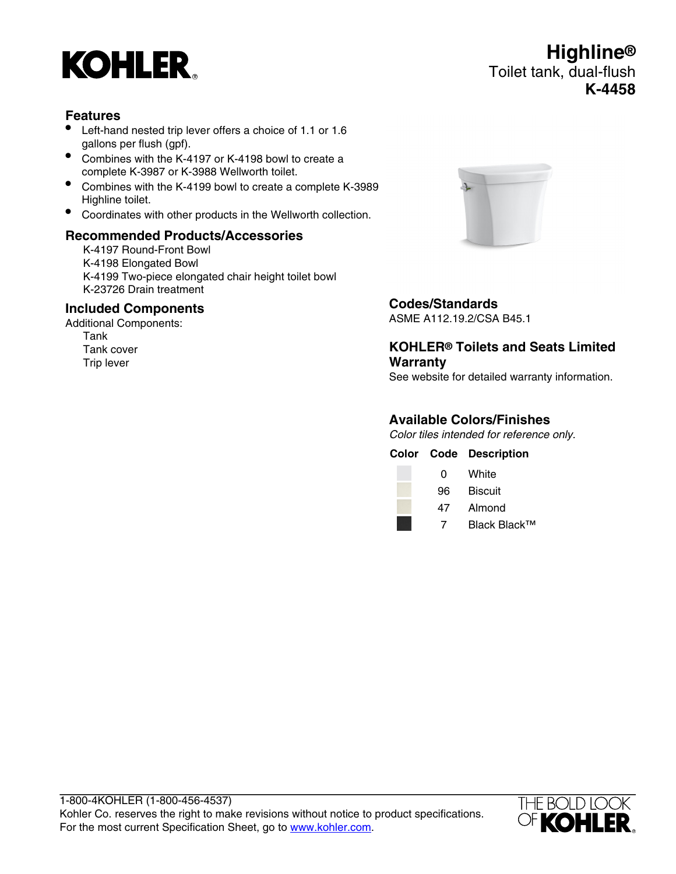

## **Features**

- Left-hand nested trip lever offers a choice of 1.1 or 1.6 gallons per flush (gpf).
- Combines with the K-4197 or K-4198 bowl to create a complete K-3987 or K-3988 Wellworth toilet.
- Combines with the K-4199 bowl to create a complete K-3989 Highline toilet.
- Coordinates with other products in the Wellworth collection.

## **Recommended Products/Accessories**

K-4197 Round-Front Bowl K-4198 Elongated Bowl K-4199 Two-piece elongated chair height toilet bowl K-23726 Drain treatment

#### **Included Components**

Additional Components: Tank Tank cover Trip lever





## **Codes/Standards**

ASME A112.19.2/CSA B45.1

# **KOHLER® Toilets and Seats Limited Warranty**

See website for detailed warranty information.

## **Available Colors/Finishes**

Color tiles intended for reference only.

|    | <b>Color Code Description</b> |
|----|-------------------------------|
| 0  | White                         |
| 96 | <b>Biscuit</b>                |
| 47 | Almond                        |

7 Black Black™